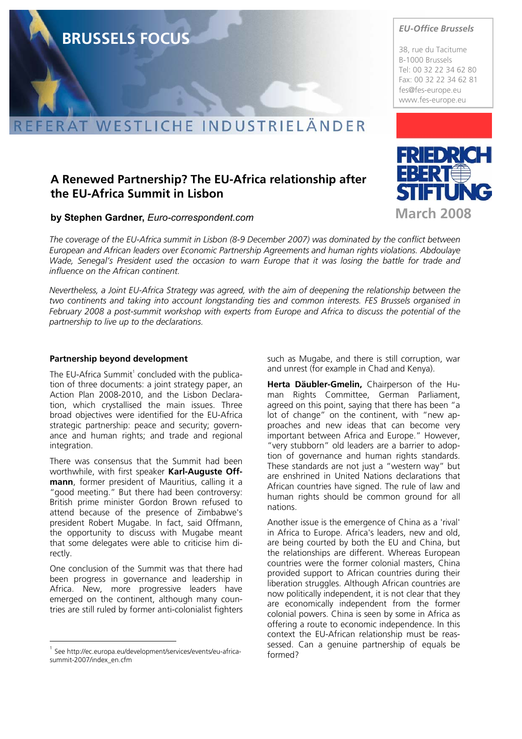#### WESTLICHE INDUSTRIELÄNDER **AT**

## **A Renewed Partnership? The EU-Africa relationship after the EU-Africa Summit in Lisbon**

## **by Stephen Gardner,** *Euro-correspondent.com*

*The coverage of the EU-Africa summit in Lisbon (8-9 December 2007) was dominated by the conflict between European and African leaders over Economic Partnership Agreements and human rights violations. Abdoulaye Wade, Senegal's President used the occasion to warn Europe that it was losing the battle for trade and influence on the African continent.* 

*Nevertheless, a Joint EU-Africa Strategy was agreed, with the aim of deepening the relationship between the two continents and taking into account longstanding ties and common interests. FES Brussels organised in February 2008 a post-summit workshop with experts from Europe and Africa to discuss the potential of the partnership to live up to the declarations.* 

#### **Partnership beyond development**

The EU-Africa Summit<sup>1</sup> concluded with the publication of three documents: a joint strategy paper, an Action Plan 2008-2010, and the Lisbon Declaration, which crystallised the main issues. Three broad objectives were identified for the EU-Africa strategic partnership: peace and security; governance and human rights; and trade and regional integration.

There was consensus that the Summit had been worthwhile, with first speaker **Karl-Auguste Offmann**, former president of Mauritius, calling it a "good meeting." But there had been controversy: British prime minister Gordon Brown refused to attend because of the presence of Zimbabwe's president Robert Mugabe. In fact, said Offmann, the opportunity to discuss with Mugabe meant that some delegates were able to criticise him directly.

One conclusion of the Summit was that there had been progress in governance and leadership in Africa. New, more progressive leaders have emerged on the continent, although many countries are still ruled by former anti-colonialist fighters

l

such as Mugabe, and there is still corruption, war and unrest (for example in Chad and Kenya).

**Herta Däubler-Gmelin,** Chairperson of the Human Rights Committee, German Parliament, agreed on this point, saying that there has been "a lot of change" on the continent, with "new approaches and new ideas that can become very important between Africa and Europe." However, "very stubborn" old leaders are a barrier to adoption of governance and human rights standards. These standards are not just a "western way" but are enshrined in United Nations declarations that African countries have signed. The rule of law and human rights should be common ground for all nations.

Another issue is the emergence of China as a 'rival' in Africa to Europe. Africa's leaders, new and old, are being courted by both the EU and China, but the relationships are different. Whereas European countries were the former colonial masters, China provided support to African countries during their liberation struggles. Although African countries are now politically independent, it is not clear that they are economically independent from the former colonial powers. China is seen by some in Africa as offering a route to economic independence. In this context the EU-African relationship must be reassessed. Can a genuine partnership of equals be formed?



*EU-Office Brussels* 

38, rue du Tacitume B-1000 Brussels Tel: 00 32 22 34 62 80 Fax: 00 32 22 34 62 81



# **BRUSSELS FOCUS**

<sup>1</sup> See http://ec.europa.eu/development/services/events/eu-africasummit-2007/index\_en.cfm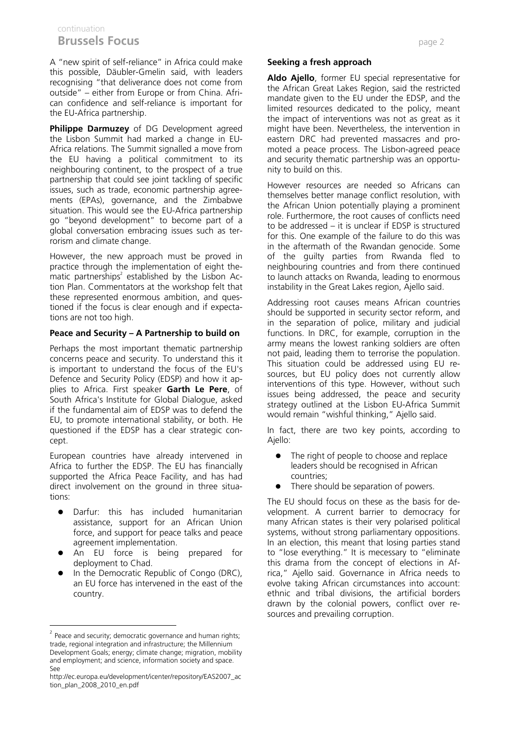## continuation **Brussels Focus page 2**

A "new spirit of self-reliance" in Africa could make this possible, Däubler-Gmelin said, with leaders recognising "that deliverance does not come from outside" – either from Europe or from China. African confidence and self-reliance is important for the EU-Africa partnership.

**Philippe Darmuzey** of DG Development agreed the Lisbon Summit had marked a change in EU-Africa relations. The Summit signalled a move from the EU having a political commitment to its neighbouring continent, to the prospect of a true partnership that could see joint tackling of specific issues, such as trade, economic partnership agreements (EPAs), governance, and the Zimbabwe situation. This would see the EU-Africa partnership go "beyond development" to become part of a global conversation embracing issues such as terrorism and climate change.

However, the new approach must be proved in practice through the implementation of eight thematic partnerships<sup>2</sup> established by the Lisbon Action Plan. Commentators at the workshop felt that these represented enormous ambition, and questioned if the focus is clear enough and if expectations are not too high.

## **Peace and Security – A Partnership to build on**

Perhaps the most important thematic partnership concerns peace and security. To understand this it is important to understand the focus of the EU's Defence and Security Policy (EDSP) and how it applies to Africa. First speaker **Garth Le Pere**, of South Africa's Institute for Global Dialogue, asked if the fundamental aim of EDSP was to defend the EU, to promote international stability, or both. He questioned if the EDSP has a clear strategic concept.

European countries have already intervened in Africa to further the EDSP. The EU has financially supported the Africa Peace Facility, and has had direct involvement on the ground in three situations:

- Darfur: this has included humanitarian assistance, support for an African Union force, and support for peace talks and peace agreement implementation.
- An EU force is being prepared for deployment to Chad.
- In the Democratic Republic of Congo (DRC), an EU force has intervened in the east of the country.

l

#### **Seeking a fresh approach**

**Aldo Ajello**, former EU special representative for the African Great Lakes Region, said the restricted mandate given to the EU under the EDSP, and the limited resources dedicated to the policy, meant the impact of interventions was not as great as it might have been. Nevertheless, the intervention in eastern DRC had prevented massacres and promoted a peace process. The Lisbon-agreed peace and security thematic partnership was an opportunity to build on this.

However resources are needed so Africans can themselves better manage conflict resolution, with the African Union potentially playing a prominent role. Furthermore, the root causes of conflicts need to be addressed – it is unclear if EDSP is structured for this. One example of the failure to do this was in the aftermath of the Rwandan genocide. Some of the guilty parties from Rwanda fled to neighbouring countries and from there continued to launch attacks on Rwanda, leading to enormous instability in the Great Lakes region, Ajello said.

Addressing root causes means African countries should be supported in security sector reform, and in the separation of police, military and judicial functions. In DRC, for example, corruption in the army means the lowest ranking soldiers are often not paid, leading them to terrorise the population. This situation could be addressed using EU resources, but EU policy does not currently allow interventions of this type. However, without such issues being addressed, the peace and security strategy outlined at the Lisbon EU-Africa Summit would remain "wishful thinking," Ajello said.

In fact, there are two key points, according to Ajello:

- The right of people to choose and replace leaders should be recognised in African countries;
- There should be separation of powers.

The EU should focus on these as the basis for development. A current barrier to democracy for many African states is their very polarised political systems, without strong parliamentary oppositions. In an election, this meant that losing parties stand to "lose everything." It is mecessary to "eliminate this drama from the concept of elections in Africa," Ajello said. Governance in Africa needs to evolve taking African circumstances into account: ethnic and tribal divisions, the artificial borders drawn by the colonial powers, conflict over resources and prevailing corruption.

Peace and security; democratic governance and human rights; trade, regional integration and infrastructure; the Millennium Development Goals; energy; climate change; migration, mobility and employment; and science, information society and space. See

http://ec.europa.eu/development/icenter/repository/EAS2007\_ac tion\_plan\_2008\_2010\_en.pdf